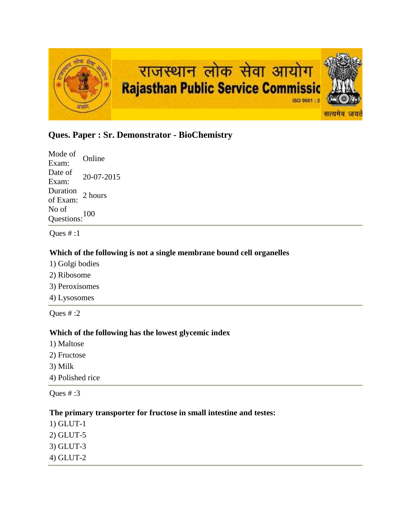

# **Ques. Paper : Sr. Demonstrator - BioChemistry**

Mode of Exam: Online Date of  $\frac{\text{Date of}}{\text{Exam:}}$  20-07-2015 Duration<br>of Exam: 2 hours No of Questions:<sup>100</sup>

Ques # :1

### **Which of the following is not a single membrane bound cell organelles**

- 1) Golgi bodies
- 2) Ribosome
- 3) Peroxisomes
- 4) Lysosomes

Ques  $# 2$ 

#### **Which of the following has the lowest glycemic index**

- 1) Maltose
- 2) Fructose
- 3) Milk

4) Polished rice

Ques # :3

#### **The primary transporter for fructose in small intestine and testes:**

- 1) GLUT-1
- 2) GLUT-5
- 3) GLUT-3
- 4) GLUT-2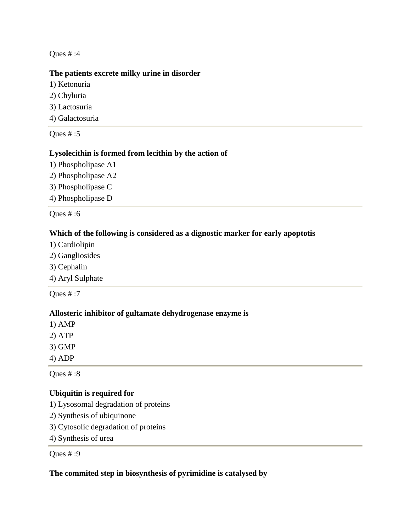#### **The patients excrete milky urine in disorder**

- 1) Ketonuria
- 2) Chyluria
- 3) Lactosuria
- 4) Galactosuria

Ques # :5

# **Lysolecithin is formed from lecithin by the action of**

- 1) Phospholipase A1
- 2) Phospholipase A2
- 3) Phospholipase C
- 4) Phospholipase D

Ques # :6

### **Which of the following is considered as a dignostic marker for early apoptotis**

- 1) Cardiolipin
- 2) Gangliosides
- 3) Cephalin
- 4) Aryl Sulphate

Ques # :7

#### **Allosteric inhibitor of gultamate dehydrogenase enzyme is**

- 1) AMP
- 2) ATP
- 3) GMP
- 4) ADP

Ques # :8

# **Ubiquitin is required for**

- 1) Lysosomal degradation of proteins
- 2) Synthesis of ubiquinone
- 3) Cytosolic degradation of proteins
- 4) Synthesis of urea

Ques # :9

### **The commited step in biosynthesis of pyrimidine is catalysed by**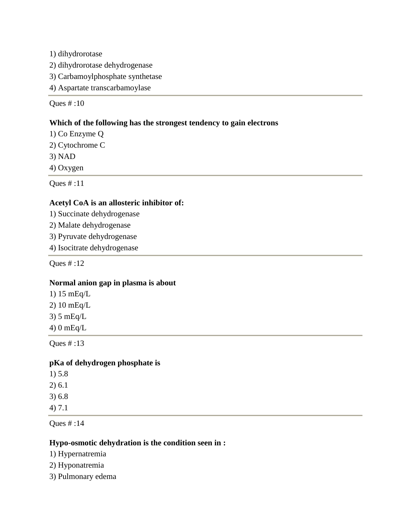1) dihydrorotase

- 2) dihydrorotase dehydrogenase
- 3) Carbamoylphosphate synthetase
- 4) Aspartate transcarbamoylase

Ques # :10

### **Which of the following has the strongest tendency to gain electrons**

- 1) Co Enzyme Q
- 2) Cytochrome C
- 3) NAD
- 4) Oxygen

Ques # :11

# **Acetyl CoA is an allosteric inhibitor of:**

- 1) Succinate dehydrogenase
- 2) Malate dehydrogenase
- 3) Pyruvate dehydrogenase
- 4) Isocitrate dehydrogenase

Ques # :12

# **Normal anion gap in plasma is about**

- 1) 15 mEq/L
- 2) 10 mEq/L
- 3) 5 mEq/L
- 4) 0 mEq/L

Ques # :13

#### **pKa of dehydrogen phosphate is**

- 1) 5.8 2) 6.1 3) 6.8
- 4) 7.1

Ques # :14

#### **Hypo-osmotic dehydration is the condition seen in :**

1) Hypernatremia

- 2) Hyponatremia
- 3) Pulmonary edema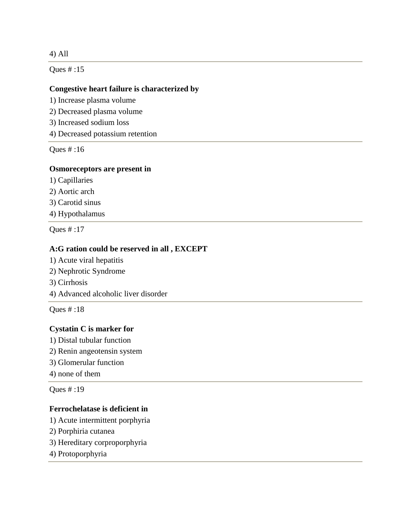### 4) All

Ques # :15

#### **Congestive heart failure is characterized by**

- 1) Increase plasma volume
- 2) Decreased plasma volume
- 3) Increased sodium loss
- 4) Decreased potassium retention

Ques # :16

#### **Osmoreceptors are present in**

- 1) Capillaries
- 2) Aortic arch
- 3) Carotid sinus
- 4) Hypothalamus

Ques # :17

### **A:G ration could be reserved in all , EXCEPT**

- 1) Acute viral hepatitis
- 2) Nephrotic Syndrome
- 3) Cirrhosis
- 4) Advanced alcoholic liver disorder

Ques # :18

#### **Cystatin C is marker for**

- 1) Distal tubular function
- 2) Renin angeotensin system
- 3) Glomerular function
- 4) none of them

Ques # :19

### **Ferrochelatase is deficient in**

- 1) Acute intermittent porphyria
- 2) Porphiria cutanea
- 3) Hereditary corproporphyria
- 4) Protoporphyria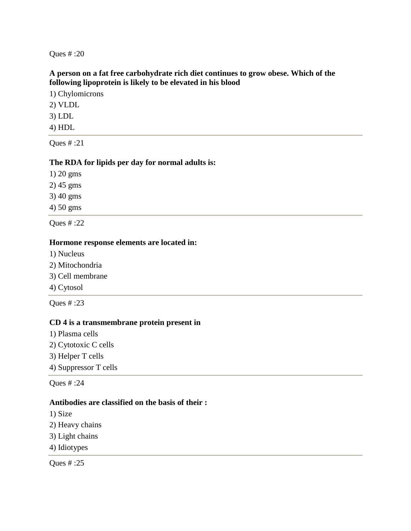#### **A person on a fat free carbohydrate rich diet continues to grow obese. Which of the following lipoprotein is likely to be elevated in his blood**

1) Chylomicrons

2) VLDL

3) LDL

4) HDL

Ques # :21

# **The RDA for lipids per day for normal adults is:**

1) 20 gms

2) 45 gms

3) 40 gms

4) 50 gms

Ques # :22

#### **Hormone response elements are located in:**

- 1) Nucleus
- 2) Mitochondria
- 3) Cell membrane
- 4) Cytosol

Ques # :23

#### **CD 4 is a transmembrane protein present in**

- 1) Plasma cells
- 2) Cytotoxic C cells
- 3) Helper T cells

4) Suppressor T cells

Ques # :24

#### **Antibodies are classified on the basis of their :**

- 1) Size
- 2) Heavy chains
- 3) Light chains
- 4) Idiotypes

Ques # :25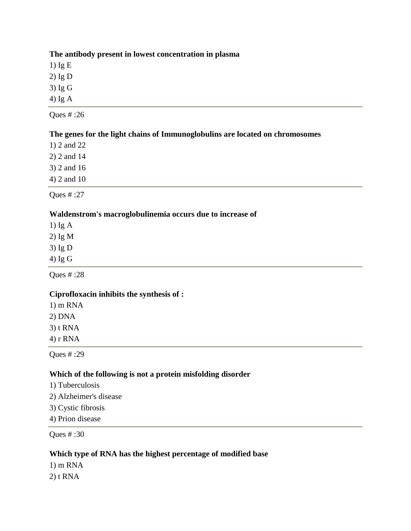#### **The antibody present in lowest concentration in plasma**

1) Ig E

2) Ig D

3) Ig G

4) Ig A

Ques # :26

# **The genes for the light chains of Immunoglobulins are located on chromosomes**

1) 2 and 22

2) 2 and 14

3) 2 and 16

4) 2 and 10

Ques # :27

# **Waldenstrom's macroglobulinemia occurs due to increase of**

1) Ig A

2) Ig M

3) Ig D

4) Ig G

Ques # :28

# **Ciprofloxacin inhibits the synthesis of :**

1) m RNA

2) DNA

3) t RNA

4) r RNA

Ques # :29

# **Which of the following is not a protein misfolding disorder**

- 1) Tuberculosis
- 2) Alzheimer's disease
- 3) Cystic fibrosis
- 4) Prion disease

Ques # :30

# **Which type of RNA has the highest percentage of modified base**

1) m RNA

2) t RNA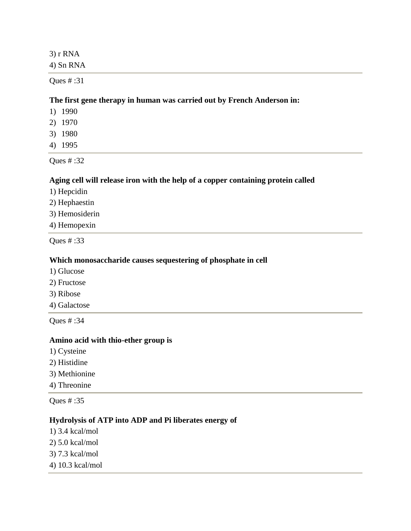3) r RNA 4) Sn RNA

Ques # :31

#### **The first gene therapy in human was carried out by French Anderson in:**

- 1) 1990
- 2) 1970
- 3) 1980
- 4) 1995

Ques # :32

#### **Aging cell will release iron with the help of a copper containing protein called**

- 1) Hepcidin
- 2) Hephaestin
- 3) Hemosiderin
- 4) Hemopexin

Ques # :33

#### **Which monosaccharide causes sequestering of phosphate in cell**

- 1) Glucose
- 2) Fructose
- 3) Ribose
- 4) Galactose

Ques # :34

#### **Amino acid with thio-ether group is**

- 1) Cysteine
- 2) Histidine
- 3) Methionine
- 4) Threonine

Ques # :35

### **Hydrolysis of ATP into ADP and Pi liberates energy of**

- 1) 3.4 kcal/mol
- 2) 5.0 kcal/mol
- 3) 7.3 kcal/mol
- 4) 10.3 kcal/mol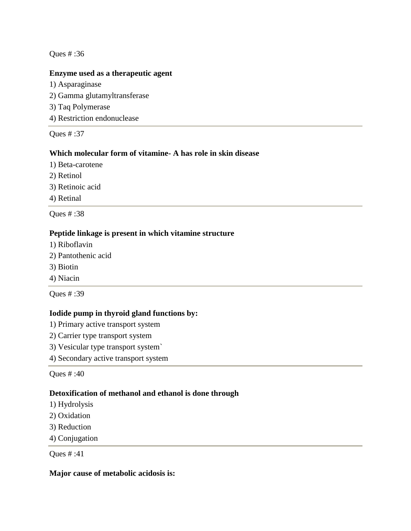#### **Enzyme used as a therapeutic agent**

1) Asparaginase 2) Gamma glutamyltransferase 3) Taq Polymerase 4) Restriction endonuclease

Ques # :37

### **Which molecular form of vitamine- A has role in skin disease**

- 1) Beta-carotene
- 2) Retinol
- 3) Retinoic acid
- 4) Retinal

Ques # :38

### **Peptide linkage is present in which vitamine structure**

- 1) Riboflavin
- 2) Pantothenic acid
- 3) Biotin
- 4) Niacin

Ques # :39

#### **Iodide pump in thyroid gland functions by:**

- 1) Primary active transport system
- 2) Carrier type transport system
- 3) Vesicular type transport system`
- 4) Secondary active transport system

Ques # :40

#### **Detoxification of methanol and ethanol is done through**

- 1) Hydrolysis
- 2) Oxidation
- 3) Reduction
- 4) Conjugation

Ques # :41

### **Major cause of metabolic acidosis is:**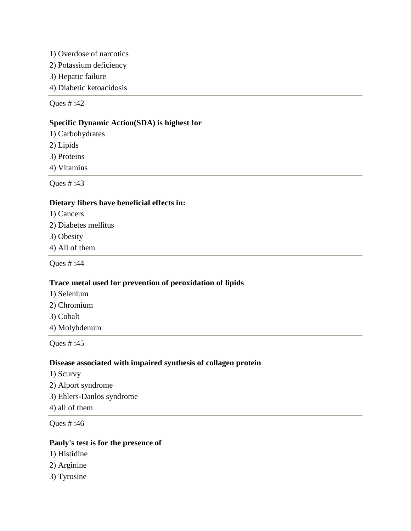- 1) Overdose of narcotics
- 2) Potassium deficiency
- 3) Hepatic failure
- 4) Diabetic ketoacidosis

# **Specific Dynamic Action(SDA) is highest for**

- 1) Carbohydrates
- 2) Lipids
- 3) Proteins
- 4) Vitamins

Ques # :43

#### **Dietary fibers have beneficial effects in:**

- 1) Cancers
- 2) Diabetes mellitus
- 3) Obesity
- 4) All of them

Ques # :44

#### **Trace metal used for prevention of peroxidation of lipids**

- 1) Selenium
- 2) Chromium
- 3) Cobalt
- 4) Molybdenum

Ques # :45

#### **Disease associated with impaired synthesis of collagen protein**

- 1) Scurvy
- 2) Alport syndrome
- 3) Ehlers-Danlos syndrome
- 4) all of them

Ques # :46

#### **Pauly's test is for the presence of**

- 1) Histidine
- 2) Arginine
- 3) Tyrosine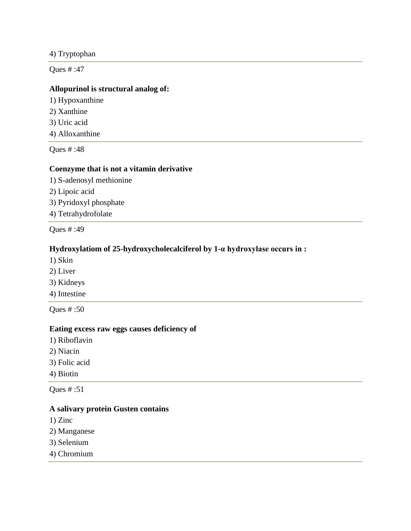#### 4) Tryptophan

Ques # :47

### **Allopurinol is structural analog of:**

- 1) Hypoxanthine
- 2) Xanthine
- 3) Uric acid
- 4) Alloxanthine

Ques # :48

# **Coenzyme that is not a vitamin derivative**

- 1) S-adenosyl methionine
- 2) Lipoic acid
- 3) Pyridoxyl phosphate
- 4) Tetrahydrofolate

Ques # :49

# **Hydroxylatiom of 25-hydroxycholecalciferol by 1-α hydroxylase occurs in :**

- 1) Skin
- 2) Liver
- 3) Kidneys
- 4) Intestine

Ques # :50

#### **Eating excess raw eggs causes deficiency of**

- 1) Riboflavin
- 2) Niacin
- 3) Folic acid
- 4) Biotin

Ques # :51

#### **A salivary protein Gusten contains**

- 1) Zinc
- 2) Manganese
- 3) Selenium
- 4) Chromium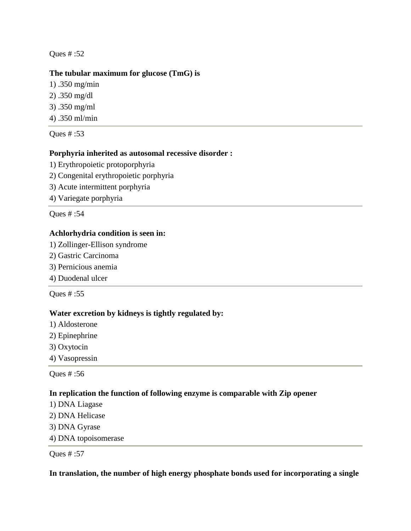#### **The tubular maximum for glucose (TmG) is**

- 1) .350 mg/min
- 2) .350 mg/dl
- 3) .350 mg/ml
- 4) .350 ml/min

Ques # :53

### **Porphyria inherited as autosomal recessive disorder :**

- 1) Erythropoietic protoporphyria
- 2) Congenital erythropoietic porphyria
- 3) Acute intermittent porphyria
- 4) Variegate porphyria

Ques # :54

### **Achlorhydria condition is seen in:**

- 1) Zollinger-Ellison syndrome
- 2) Gastric Carcinoma
- 3) Pernicious anemia
- 4) Duodenal ulcer

Ques # :55

#### **Water excretion by kidneys is tightly regulated by:**

- 1) Aldosterone
- 2) Epinephrine
- 3) Oxytocin
- 4) Vasopressin

Ques # :56

#### **In replication the function of following enzyme is comparable with Zip opener**

- 1) DNA Liagase
- 2) DNA Helicase
- 3) DNA Gyrase
- 4) DNA topoisomerase

Ques # :57

#### **In translation, the number of high energy phosphate bonds used for incorporating a single**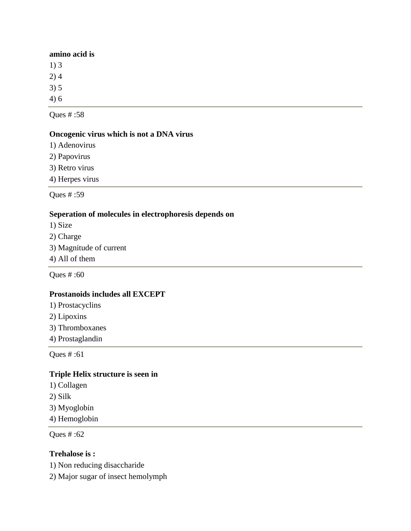#### **amino acid is**

1) 3

2) 4

3) 5

4) 6

Ques # :58

# **Oncogenic virus which is not a DNA virus**

1) Adenovirus

2) Papovirus

3) Retro virus

4) Herpes virus

Ques # :59

#### **Seperation of molecules in electrophoresis depends on**

1) Size

- 2) Charge
- 3) Magnitude of current
- 4) All of them

Ques # :60

#### **Prostanoids includes all EXCEPT**

- 1) Prostacyclins
- 2) Lipoxins
- 3) Thromboxanes
- 4) Prostaglandin

Ques # :61

# **Triple Helix structure is seen in**

- 1) Collagen
- 2) Silk
- 3) Myoglobin

4) Hemoglobin

Ques # :62

# **Trehalose is :**

1) Non reducing disaccharide

2) Major sugar of insect hemolymph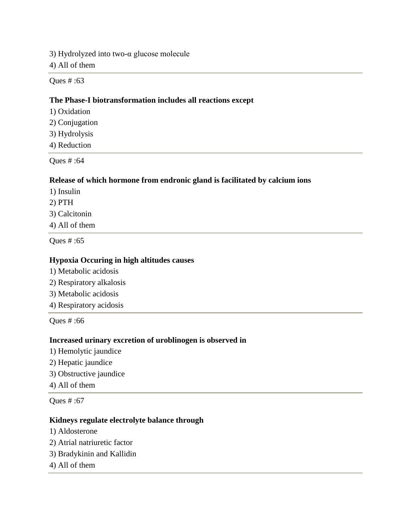3) Hydrolyzed into two-α glucose molecule

4) All of them

Ques # :63

#### **The Phase-I biotransformation includes all reactions except**

- 1) Oxidation
- 2) Conjugation
- 3) Hydrolysis
- 4) Reduction

Ques # :64

### **Release of which hormone from endronic gland is facilitated by calcium ions**

- 1) Insulin
- 2) PTH
- 3) Calcitonin
- 4) All of them

Ques # :65

#### **Hypoxia Occuring in high altitudes causes**

- 1) Metabolic acidosis
- 2) Respiratory alkalosis
- 3) Metabolic acidosis
- 4) Respiratory acidosis

Ques # :66

#### **Increased urinary excretion of uroblinogen is observed in**

- 1) Hemolytic jaundice
- 2) Hepatic jaundice
- 3) Obstructive jaundice
- 4) All of them

Ques # :67

### **Kidneys regulate electrolyte balance through**

- 1) Aldosterone
- 2) Atrial natriuretic factor
- 3) Bradykinin and Kallidin
- 4) All of them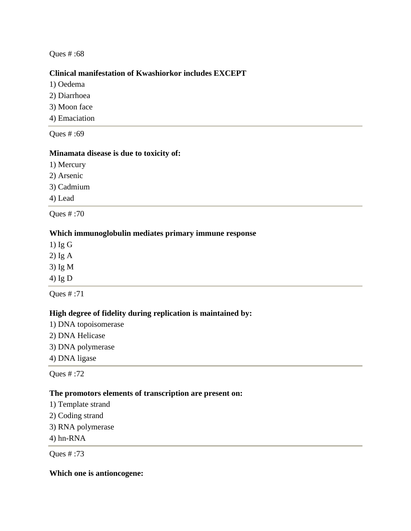### **Clinical manifestation of Kwashiorkor includes EXCEPT**

- 1) Oedema
- 2) Diarrhoea
- 3) Moon face
- 4) Emaciation

Ques # :69

### **Minamata disease is due to toxicity of:**

- 1) Mercury
- 2) Arsenic
- 3) Cadmium

4) Lead

Ques # :70

### **Which immunoglobulin mediates primary immune response**

1) Ig G

- 2) Ig A
- 3) Ig M
- 4) Ig D

Ques # :71

# **High degree of fidelity during replication is maintained by:**

- 1) DNA topoisomerase
- 2) DNA Helicase
- 3) DNA polymerase
- 4) DNA ligase

Ques # :72

#### **The promotors elements of transcription are present on:**

- 1) Template strand
- 2) Coding strand
- 3) RNA polymerase
- 4) hn-RNA

Ques # :73

#### **Which one is antioncogene:**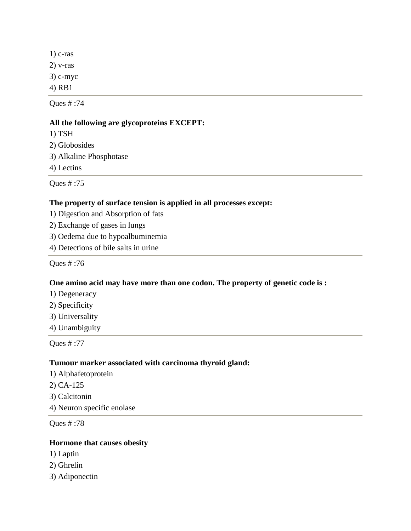1) c-ras 2) v-ras 3) c-myc 4) RB1

Ques # :74

### **All the following are glycoproteins EXCEPT:**

1) TSH 2) Globosides 3) Alkaline Phosphotase 4) Lectins

Ques # :75

### **The property of surface tension is applied in all processes except:**

- 1) Digestion and Absorption of fats
- 2) Exchange of gases in lungs
- 3) Oedema due to hypoalbuminemia
- 4) Detections of bile salts in urine

Ques # :76

#### **One amino acid may have more than one codon. The property of genetic code is :**

- 1) Degeneracy
- 2) Specificity
- 3) Universality
- 4) Unambiguity

Ques # :77

#### **Tumour marker associated with carcinoma thyroid gland:**

1) Alphafetoprotein 2) CA-125 3) Calcitonin 4) Neuron specific enolase

Ques # :78

#### **Hormone that causes obesity**

- 1) Laptin
- 2) Ghrelin
- 3) Adiponectin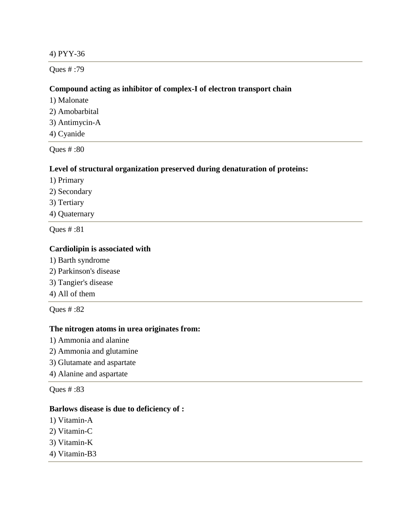#### 4) PYY-36

Ques # :79

#### **Compound acting as inhibitor of complex-I of electron transport chain**

1) Malonate

- 2) Amobarbital
- 3) Antimycin-A
- 4) Cyanide

Ques # :80

#### **Level of structural organization preserved during denaturation of proteins:**

- 1) Primary
- 2) Secondary
- 3) Tertiary
- 4) Quaternary

Ques # :81

#### **Cardiolipin is associated with**

- 1) Barth syndrome
- 2) Parkinson's disease
- 3) Tangier's disease
- 4) All of them

Ques # :82

#### **The nitrogen atoms in urea originates from:**

- 1) Ammonia and alanine
- 2) Ammonia and glutamine
- 3) Glutamate and aspartate
- 4) Alanine and aspartate

Ques # :83

#### **Barlows disease is due to deficiency of :**

- 1) Vitamin-A
- 2) Vitamin-C
- 3) Vitamin-K
- 4) Vitamin-B3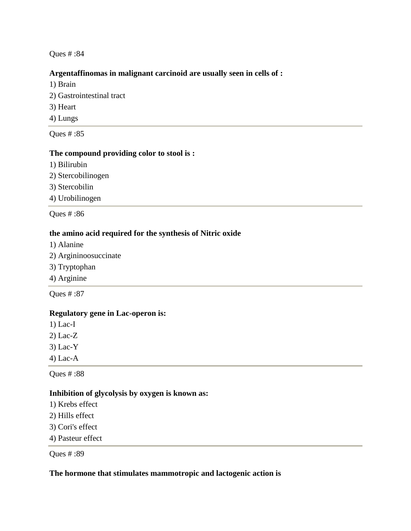#### **Argentaffinomas in malignant carcinoid are usually seen in cells of :**

- 1) Brain
- 2) Gastrointestinal tract 3) Heart
- 4) Lungs

Ques # :85

#### **The compound providing color to stool is :**

- 1) Bilirubin
- 2) Stercobilinogen
- 3) Stercobilin
- 4) Urobilinogen

Ques # :86

#### **the amino acid required for the synthesis of Nitric oxide**

- 1) Alanine
- 2) Argininoosuccinate
- 3) Tryptophan
- 4) Arginine

Ques # :87

#### **Regulatory gene in Lac-operon is:**

- 1) Lac-I
- 2) Lac-Z
- 3) Lac-Y
- 4) Lac-A

Ques # :88

#### **Inhibition of glycolysis by oxygen is known as:**

- 1) Krebs effect
- 2) Hills effect
- 3) Cori's effect
- 4) Pasteur effect

Ques # :89

#### **The hormone that stimulates mammotropic and lactogenic action is**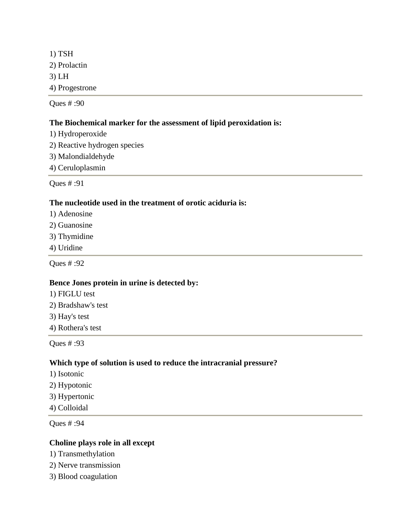1) TSH 2) Prolactin 3) LH 4) Progestrone

Ques # :90

### **The Biochemical marker for the assessment of lipid peroxidation is:**

- 1) Hydroperoxide
- 2) Reactive hydrogen species
- 3) Malondialdehyde
- 4) Ceruloplasmin

Ques # :91

### **The nucleotide used in the treatment of orotic aciduria is:**

- 1) Adenosine
- 2) Guanosine
- 3) Thymidine
- 4) Uridine

Ques # :92

#### **Bence Jones protein in urine is detected by:**

- 1) FIGLU test
- 2) Bradshaw's test
- 3) Hay's test
- 4) Rothera's test

Ques # :93

#### **Which type of solution is used to reduce the intracranial pressure?**

- 1) Isotonic
- 2) Hypotonic
- 3) Hypertonic
- 4) Colloidal

Ques # :94

### **Choline plays role in all except**

- 1) Transmethylation
- 2) Nerve transmission
- 3) Blood coagulation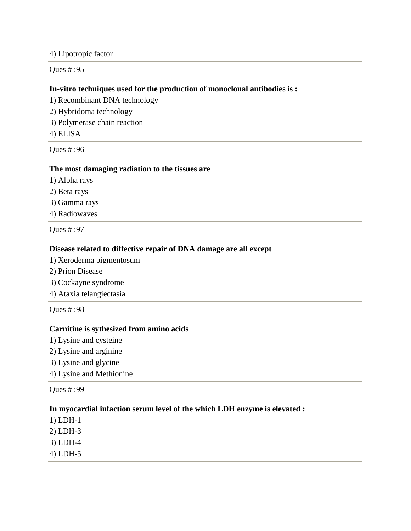4) Lipotropic factor

Ques # :95

### **In-vitro techniques used for the production of monoclonal antibodies is :**

1) Recombinant DNA technology

- 2) Hybridoma technology
- 3) Polymerase chain reaction
- 4) ELISA

Ques # :96

#### **The most damaging radiation to the tissues are**

- 1) Alpha rays
- 2) Beta rays
- 3) Gamma rays
- 4) Radiowaves

Ques # :97

# **Disease related to diffective repair of DNA damage are all except**

- 1) Xeroderma pigmentosum
- 2) Prion Disease
- 3) Cockayne syndrome
- 4) Ataxia telangiectasia

Ques # :98

# **Carnitine is sythesized from amino acids**

- 1) Lysine and cysteine
- 2) Lysine and arginine
- 3) Lysine and glycine
- 4) Lysine and Methionine

Ques # :99

# **In myocardial infaction serum level of the which LDH enzyme is elevated :**

- 1) LDH-1 2) LDH-3
- 3) LDH-4
- 4) LDH-5